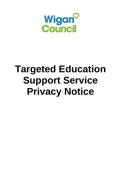

# **Targeted Education Support Service Privacy Notice**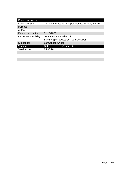| Document control     |                                                          |                 |
|----------------------|----------------------------------------------------------|-----------------|
| Document title       | <b>Targeted Education Support Service Privacy Notice</b> |                 |
| Purpose              |                                                          |                 |
| Author               |                                                          |                 |
| Date of publication  | 01/10/2020                                               |                 |
| Owner/responsibility | Jo Simmons on behalf of                                  |                 |
|                      | Sandra Sparrow/Louise Tuersley-Dixon                     |                 |
| <b>Distribution</b>  | LanConsent/Other                                         |                 |
| Version              | Date                                                     | <b>Comments</b> |
| Version 1.0          | 25.05.18                                                 |                 |
|                      |                                                          |                 |
|                      |                                                          |                 |
|                      |                                                          |                 |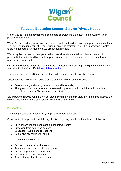

# **Targeted Education Support Service Privacy Notice**

Wigan Council ('a data controller') is committed to protecting the privacy and security of your personal information.

Wigan Council and organisations who work on our behalf, collect, store and process personal and sensitive information about children, young people and their families. This information enables us to carry out specific functions that we are responsible for.

We recognise the need to treat personal and sensitive data in a fair and lawful manner. No personal information held by us will be processed unless the requirements for fair and lawful processing can be met.

Our core obligations under the General Data Protection Regulations (GDPR) and commitments are set out in the Council's [Primary Privacy Notice.](https://www.wigan.gov.uk/privacynotices)

This notice provides additional privacy for children, young people and their families.

It describes how we collect, use and share personal information about you:

- Before, during and after your relationship with us ends;
- The types of personal information we need to process, including information the law describes as 'special' because of its sensitivity.

It is important that you read this notice, together with any other privacy information so that you are aware of how and why we use yours or your child's information.

#### **Purpose(s):**

The main purposes for processing your personal information are:

Co-operating to improve the well-being of children, young people and families in relation to:

- Physical and mental health and emotional well-being;
- Protection from harm and neglect:
- Education, training and recreation:
- Social and economic well-being;

We also use personal data to:

- Support your children's learning;
- To monitor and report on their progress;
- Provide appropriate pastoral care;
- For purposes of safeguarding;
- Assess the quality of our services;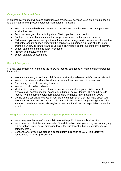# **Categories of Personal Data:**

In order to carry out activities and obligations as providers of services to children, young people and their families we process personal information in relation to:

- Personal contact details such as name, title, address, telephone numbers and personal email addresses;
- Personal demographics including date of birth, gender, , relationships;
- Contact details such as names, address, personal email and telephone numbers;
- Children and young people's photographs and video images (with consent)– to be used as part of therapeutic support work with the child or young person. Or to be able to use to promote our service in future and to use as a training tool to improve our service delivery.
- School attendance and exclusion information
- Present and previous schools
- School data and assessments

# **Special Categories:**

We may also collect, store and use the following 'special categories' of more sensitive personal information:

- Information about you and your child's race or ethnicity, religious beliefs, sexual orientation.
- Your child's primary and additional special educational needs and interventions.
- Outcomes your child is working towards.
- Your child's strengths and assets.
- Identification numbers, online identifier and factors specific to your child's physical, physiological, genetic, mental, economic, cultural or social identify. This could include reports from the police, court information/orders and health information, e.g. DNA.
- Details of professionals involved in your care and information that they have about you which outlines your support needs. This may include sensitive safeguarding information such as domestic abuse reports, neglect assessment, child sexual exploitation or medical reports.

#### **The legal bases we rely on for processing your personal information are:**

- Necessary in order to perform a public task in the public interest/official functions.
- Necessary to protect the vital interests of the data subiect (i.e. your child) and for carrying out obligations under social protection law in the substantial public interest (for special category data).
- Consent (where you have signed a consent form in relation to Early Help/Start Well services and PLO Pre-proceedings).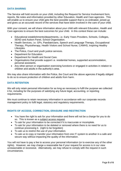The Service will hold records on your child, including the Request for Service Involvement form, reports, file notes and information provided by other Education, Health and Care agencies. This will enable us to ensure your child gets the best possible support that is co-ordinated, joined-up and gives us an accurate record of the services that have been involved in the care of your child.

With your consent, we will share information about your child with relevant Education, Health and Care agencies to ensure the best outcomes for your child. In this context these can include:

- Educational establishments/departments, i.e. Early Years Providers, Schools, Colleges, SEND and Autism Panel, School Organisation.
- Health Services, i.e. GPs, Paediatricians, Speech and Language Therapy, Occupational Therapy, Physiotherapy, Health Visitors and School Nurse, CAMHS, Inspiring Healthy Lifestyles.
- The Police, Court and youth justice services.
- Department for Education.
- Department for Health and Social Care.
- Organisations that provide support i.e. residential homes, supported accommodation, personal assistants.
- Any other person or organisation exercising functions or engaged in activities in relation to children and adults in the authority's area.

We may also share information with the Police, the Court and the above agencies if legally obliged to do so to ensure protection of children and adults from harm.

# **DATA RETENTION**

We will only retain personal information for as long as necessary to fulfil the purpose we collected it for, including for the purposes of satisfying any future legal, accounting, or reporting requirements.

We must continue to retain necessary information in accordance with our corporate records management policy to fulfil legal, statutory and regulatory requirements.

# **RIGHTS OF ACCESS, CORRECTION, ERASURE AND RESTRICTION**

- You have the right to ask for your information and there will not be a charge for you to do so. This is known as a subject access request.
- To ask for your information to be corrected if it is inaccurate or incomplete.
- To ask for your information to be deleted or removed where there is no need for us to continue processing it. (right to be forgotten)
- To ask us to restrict the use of your information.
- To ask us to copy or transfer your information from one IT system to another in a safe and secure way without impacting the quality of the information.

You will not have to pay a fee to access your personal information (or to exercise any of the other rights). However, we may charge a reasonable fee if your request for access is in our view unreasonable or excessive. Alternatively, we may refuse to comply with the request in such circumstances.